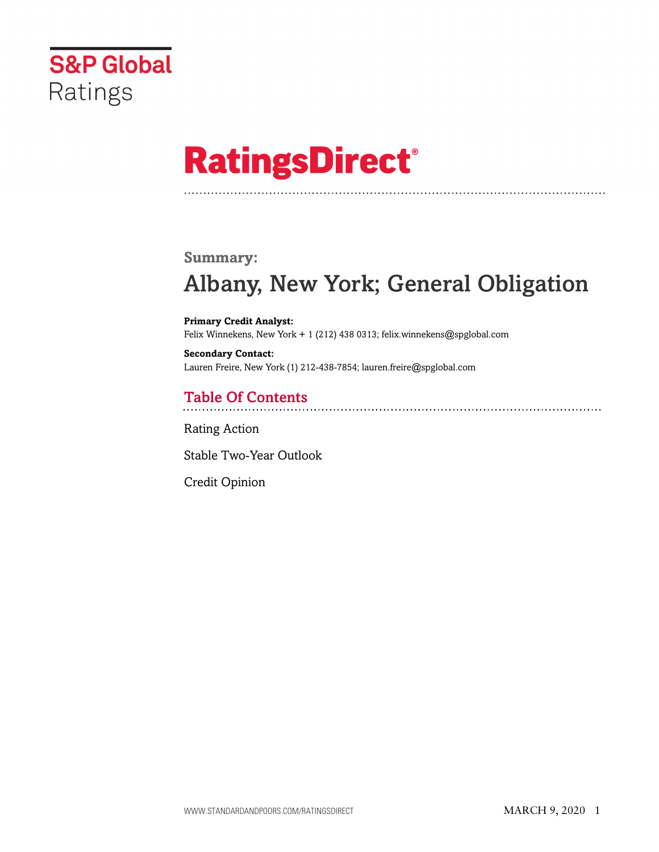

# **RatingsDirect®**

### **Summary:**

# Albany, New York; General Obligation

**Primary Credit Analyst:** Felix Winnekens, New York + 1 (212) 438 0313; felix.winnekens@spglobal.com

**Secondary Contact:** Lauren Freire, New York (1) 212-438-7854; lauren.freire@spglobal.com

# Table Of Contents

[Rating Action](#page-1-0)

[Stable Two-Year Outlook](#page-2-0)

[Credit Opinion](#page-2-1)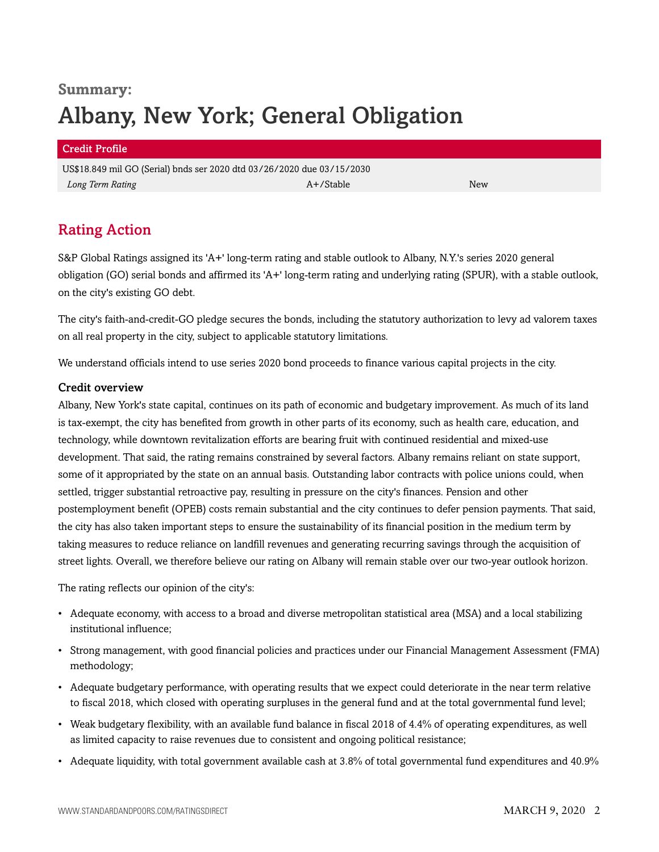# **Summary:** Albany, New York; General Obligation

#### Credit Profile

US\$18.849 mil GO (Serial) bnds ser 2020 dtd 03/26/2020 due 03/15/2030 *Long Term Rating* New *A+/Stable* A+/Stable A+/Stable A+/Stable New *New* 

# <span id="page-1-0"></span>Rating Action

S&P Global Ratings assigned its 'A+' long-term rating and stable outlook to Albany, N.Y.'s series 2020 general obligation (GO) serial bonds and affirmed its 'A+' long-term rating and underlying rating (SPUR), with a stable outlook, on the city's existing GO debt.

The city's faith-and-credit-GO pledge secures the bonds, including the statutory authorization to levy ad valorem taxes on all real property in the city, subject to applicable statutory limitations.

We understand officials intend to use series 2020 bond proceeds to finance various capital projects in the city.

#### Credit overview

Albany, New York's state capital, continues on its path of economic and budgetary improvement. As much of its land is tax-exempt, the city has benefited from growth in other parts of its economy, such as health care, education, and technology, while downtown revitalization efforts are bearing fruit with continued residential and mixed-use development. That said, the rating remains constrained by several factors. Albany remains reliant on state support, some of it appropriated by the state on an annual basis. Outstanding labor contracts with police unions could, when settled, trigger substantial retroactive pay, resulting in pressure on the city's finances. Pension and other postemployment benefit (OPEB) costs remain substantial and the city continues to defer pension payments. That said, the city has also taken important steps to ensure the sustainability of its financial position in the medium term by taking measures to reduce reliance on landfill revenues and generating recurring savings through the acquisition of street lights. Overall, we therefore believe our rating on Albany will remain stable over our two-year outlook horizon.

The rating reflects our opinion of the city's:

- Adequate economy, with access to a broad and diverse metropolitan statistical area (MSA) and a local stabilizing institutional influence;
- Strong management, with good financial policies and practices under our Financial Management Assessment (FMA) methodology;
- Adequate budgetary performance, with operating results that we expect could deteriorate in the near term relative to fiscal 2018, which closed with operating surpluses in the general fund and at the total governmental fund level;
- Weak budgetary flexibility, with an available fund balance in fiscal 2018 of 4.4% of operating expenditures, as well as limited capacity to raise revenues due to consistent and ongoing political resistance;
- Adequate liquidity, with total government available cash at 3.8% of total governmental fund expenditures and 40.9%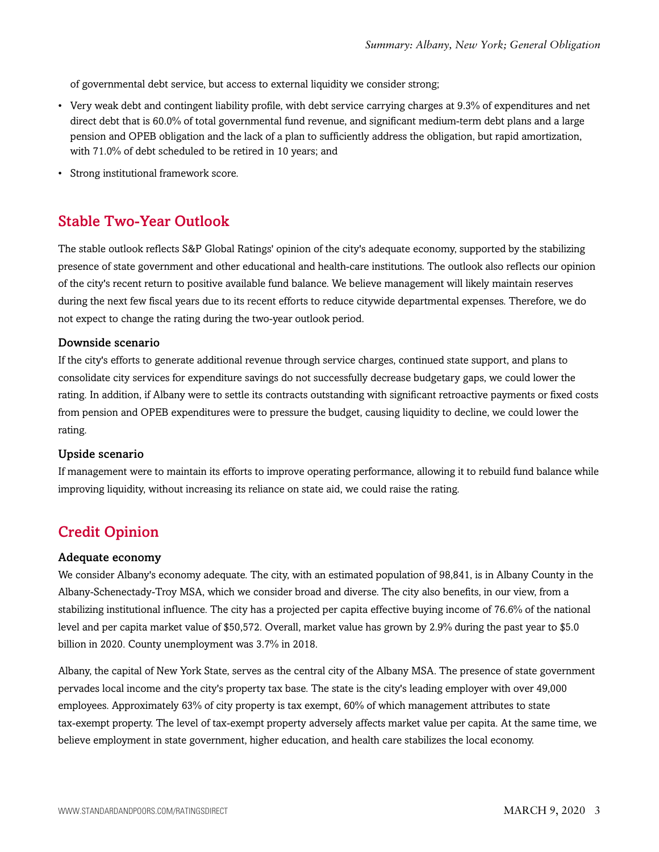of governmental debt service, but access to external liquidity we consider strong;

- Very weak debt and contingent liability profile, with debt service carrying charges at 9.3% of expenditures and net direct debt that is 60.0% of total governmental fund revenue, and significant medium-term debt plans and a large pension and OPEB obligation and the lack of a plan to sufficiently address the obligation, but rapid amortization, with 71.0% of debt scheduled to be retired in 10 years; and
- Strong institutional framework score.

### <span id="page-2-0"></span>Stable Two-Year Outlook

The stable outlook reflects S&P Global Ratings' opinion of the city's adequate economy, supported by the stabilizing presence of state government and other educational and health-care institutions. The outlook also reflects our opinion of the city's recent return to positive available fund balance. We believe management will likely maintain reserves during the next few fiscal years due to its recent efforts to reduce citywide departmental expenses. Therefore, we do not expect to change the rating during the two-year outlook period.

#### Downside scenario

If the city's efforts to generate additional revenue through service charges, continued state support, and plans to consolidate city services for expenditure savings do not successfully decrease budgetary gaps, we could lower the rating. In addition, if Albany were to settle its contracts outstanding with significant retroactive payments or fixed costs from pension and OPEB expenditures were to pressure the budget, causing liquidity to decline, we could lower the rating.

#### Upside scenario

If management were to maintain its efforts to improve operating performance, allowing it to rebuild fund balance while improving liquidity, without increasing its reliance on state aid, we could raise the rating.

## <span id="page-2-1"></span>Credit Opinion

#### Adequate economy

We consider Albany's economy adequate. The city, with an estimated population of 98,841, is in Albany County in the Albany-Schenectady-Troy MSA, which we consider broad and diverse. The city also benefits, in our view, from a stabilizing institutional influence. The city has a projected per capita effective buying income of 76.6% of the national level and per capita market value of \$50,572. Overall, market value has grown by 2.9% during the past year to \$5.0 billion in 2020. County unemployment was 3.7% in 2018.

Albany, the capital of New York State, serves as the central city of the Albany MSA. The presence of state government pervades local income and the city's property tax base. The state is the city's leading employer with over 49,000 employees. Approximately 63% of city property is tax exempt, 60% of which management attributes to state tax-exempt property. The level of tax-exempt property adversely affects market value per capita. At the same time, we believe employment in state government, higher education, and health care stabilizes the local economy.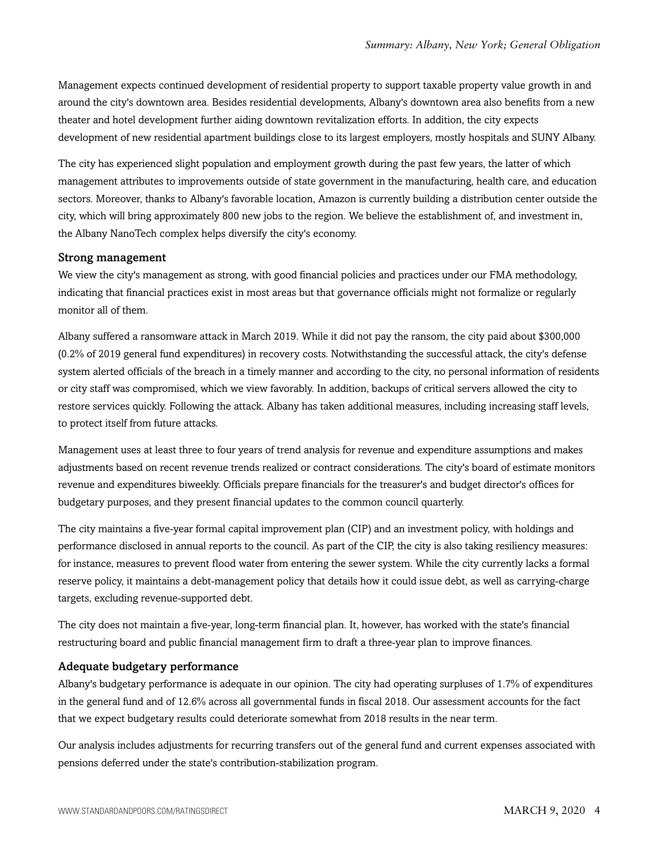Management expects continued development of residential property to support taxable property value growth in and around the city's downtown area. Besides residential developments, Albany's downtown area also benefits from a new theater and hotel development further aiding downtown revitalization efforts. In addition, the city expects development of new residential apartment buildings close to its largest employers, mostly hospitals and SUNY Albany.

The city has experienced slight population and employment growth during the past few years, the latter of which management attributes to improvements outside of state government in the manufacturing, health care, and education sectors. Moreover, thanks to Albany's favorable location, Amazon is currently building a distribution center outside the city, which will bring approximately 800 new jobs to the region. We believe the establishment of, and investment in, the Albany NanoTech complex helps diversify the city's economy.

#### Strong management

We view the city's management as strong, with good financial policies and practices under our FMA methodology, indicating that financial practices exist in most areas but that governance officials might not formalize or regularly monitor all of them.

Albany suffered a ransomware attack in March 2019. While it did not pay the ransom, the city paid about \$300,000 (0.2% of 2019 general fund expenditures) in recovery costs. Notwithstanding the successful attack, the city's defense system alerted officials of the breach in a timely manner and according to the city, no personal information of residents or city staff was compromised, which we view favorably. In addition, backups of critical servers allowed the city to restore services quickly. Following the attack. Albany has taken additional measures, including increasing staff levels, to protect itself from future attacks.

Management uses at least three to four years of trend analysis for revenue and expenditure assumptions and makes adjustments based on recent revenue trends realized or contract considerations. The city's board of estimate monitors revenue and expenditures biweekly. Officials prepare financials for the treasurer's and budget director's offices for budgetary purposes, and they present financial updates to the common council quarterly.

The city maintains a five-year formal capital improvement plan (CIP) and an investment policy, with holdings and performance disclosed in annual reports to the council. As part of the CIP, the city is also taking resiliency measures: for instance, measures to prevent flood water from entering the sewer system. While the city currently lacks a formal reserve policy, it maintains a debt-management policy that details how it could issue debt, as well as carrying-charge targets, excluding revenue-supported debt.

The city does not maintain a five-year, long-term financial plan. It, however, has worked with the state's financial restructuring board and public financial management firm to draft a three-year plan to improve finances.

#### Adequate budgetary performance

Albany's budgetary performance is adequate in our opinion. The city had operating surpluses of 1.7% of expenditures in the general fund and of 12.6% across all governmental funds in fiscal 2018. Our assessment accounts for the fact that we expect budgetary results could deteriorate somewhat from 2018 results in the near term.

Our analysis includes adjustments for recurring transfers out of the general fund and current expenses associated with pensions deferred under the state's contribution-stabilization program.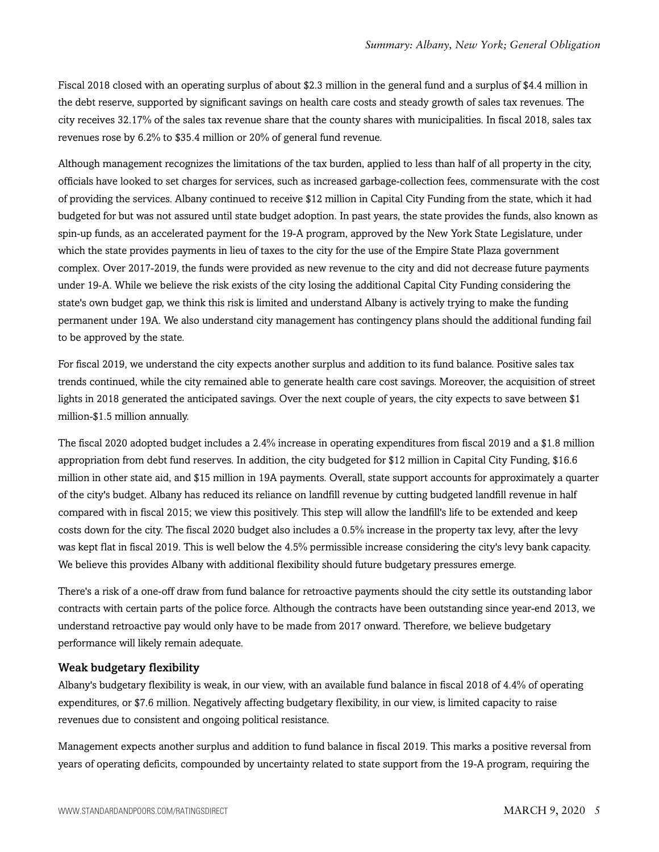Fiscal 2018 closed with an operating surplus of about \$2.3 million in the general fund and a surplus of \$4.4 million in the debt reserve, supported by significant savings on health care costs and steady growth of sales tax revenues. The city receives 32.17% of the sales tax revenue share that the county shares with municipalities. In fiscal 2018, sales tax revenues rose by 6.2% to \$35.4 million or 20% of general fund revenue.

Although management recognizes the limitations of the tax burden, applied to less than half of all property in the city, officials have looked to set charges for services, such as increased garbage-collection fees, commensurate with the cost of providing the services. Albany continued to receive \$12 million in Capital City Funding from the state, which it had budgeted for but was not assured until state budget adoption. In past years, the state provides the funds, also known as spin-up funds, as an accelerated payment for the 19-A program, approved by the New York State Legislature, under which the state provides payments in lieu of taxes to the city for the use of the Empire State Plaza government complex. Over 2017-2019, the funds were provided as new revenue to the city and did not decrease future payments under 19-A. While we believe the risk exists of the city losing the additional Capital City Funding considering the state's own budget gap, we think this risk is limited and understand Albany is actively trying to make the funding permanent under 19A. We also understand city management has contingency plans should the additional funding fail to be approved by the state.

For fiscal 2019, we understand the city expects another surplus and addition to its fund balance. Positive sales tax trends continued, while the city remained able to generate health care cost savings. Moreover, the acquisition of street lights in 2018 generated the anticipated savings. Over the next couple of years, the city expects to save between \$1 million-\$1.5 million annually.

The fiscal 2020 adopted budget includes a 2.4% increase in operating expenditures from fiscal 2019 and a \$1.8 million appropriation from debt fund reserves. In addition, the city budgeted for \$12 million in Capital City Funding, \$16.6 million in other state aid, and \$15 million in 19A payments. Overall, state support accounts for approximately a quarter of the city's budget. Albany has reduced its reliance on landfill revenue by cutting budgeted landfill revenue in half compared with in fiscal 2015; we view this positively. This step will allow the landfill's life to be extended and keep costs down for the city. The fiscal 2020 budget also includes a 0.5% increase in the property tax levy, after the levy was kept flat in fiscal 2019. This is well below the 4.5% permissible increase considering the city's levy bank capacity. We believe this provides Albany with additional flexibility should future budgetary pressures emerge.

There's a risk of a one-off draw from fund balance for retroactive payments should the city settle its outstanding labor contracts with certain parts of the police force. Although the contracts have been outstanding since year-end 2013, we understand retroactive pay would only have to be made from 2017 onward. Therefore, we believe budgetary performance will likely remain adequate.

#### Weak budgetary flexibility

Albany's budgetary flexibility is weak, in our view, with an available fund balance in fiscal 2018 of 4.4% of operating expenditures, or \$7.6 million. Negatively affecting budgetary flexibility, in our view, is limited capacity to raise revenues due to consistent and ongoing political resistance.

Management expects another surplus and addition to fund balance in fiscal 2019. This marks a positive reversal from years of operating deficits, compounded by uncertainty related to state support from the 19-A program, requiring the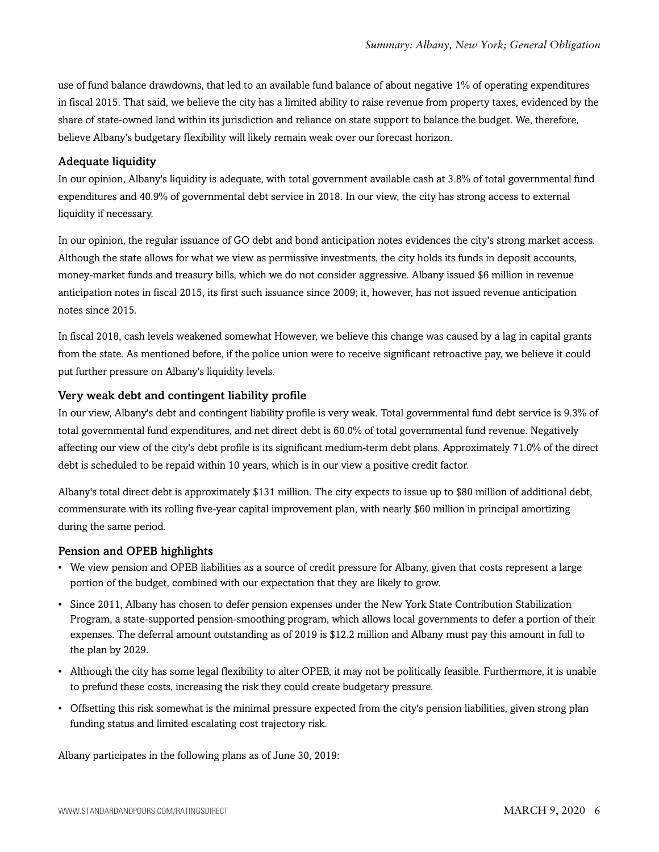use of fund balance drawdowns, that led to an available fund balance of about negative 1% of operating expenditures in fiscal 2015. That said, we believe the city has a limited ability to raise revenue from property taxes, evidenced by the share of state-owned land within its jurisdiction and reliance on state support to balance the budget. We, therefore, believe Albany's budgetary flexibility will likely remain weak over our forecast horizon.

#### Adequate liquidity

In our opinion, Albany's liquidity is adequate, with total government available cash at 3.8% of total governmental fund expenditures and 40.9% of governmental debt service in 2018. In our view, the city has strong access to external liquidity if necessary.

In our opinion, the regular issuance of GO debt and bond anticipation notes evidences the city's strong market access. Although the state allows for what we view as permissive investments, the city holds its funds in deposit accounts, money-market funds and treasury bills, which we do not consider aggressive. Albany issued \$6 million in revenue anticipation notes in fiscal 2015, its first such issuance since 2009; it, however, has not issued revenue anticipation notes since 2015.

In fiscal 2018, cash levels weakened somewhat However, we believe this change was caused by a lag in capital grants from the state. As mentioned before, if the police union were to receive significant retroactive pay, we believe it could put further pressure on Albany's liquidity levels.

#### Very weak debt and contingent liability profile

In our view, Albany's debt and contingent liability profile is very weak. Total governmental fund debt service is 9.3% of total governmental fund expenditures, and net direct debt is 60.0% of total governmental fund revenue. Negatively affecting our view of the city's debt profile is its significant medium-term debt plans. Approximately 71.0% of the direct debt is scheduled to be repaid within 10 years, which is in our view a positive credit factor.

Albany's total direct debt is approximately \$131 million. The city expects to issue up to \$80 million of additional debt, commensurate with its rolling five-year capital improvement plan, with nearly \$60 million in principal amortizing during the same period.

#### Pension and OPEB highlights

- We view pension and OPEB liabilities as a source of credit pressure for Albany, given that costs represent a large portion of the budget, combined with our expectation that they are likely to grow.
- Since 2011, Albany has chosen to defer pension expenses under the New York State Contribution Stabilization Program, a state-supported pension-smoothing program, which allows local governments to defer a portion of their expenses. The deferral amount outstanding as of 2019 is \$12.2 million and Albany must pay this amount in full to the plan by 2029.
- Although the city has some legal flexibility to alter OPEB, it may not be politically feasible. Furthermore, it is unable to prefund these costs, increasing the risk they could create budgetary pressure.
- Offsetting this risk somewhat is the minimal pressure expected from the city's pension liabilities, given strong plan funding status and limited escalating cost trajectory risk.

Albany participates in the following plans as of June 30, 2019: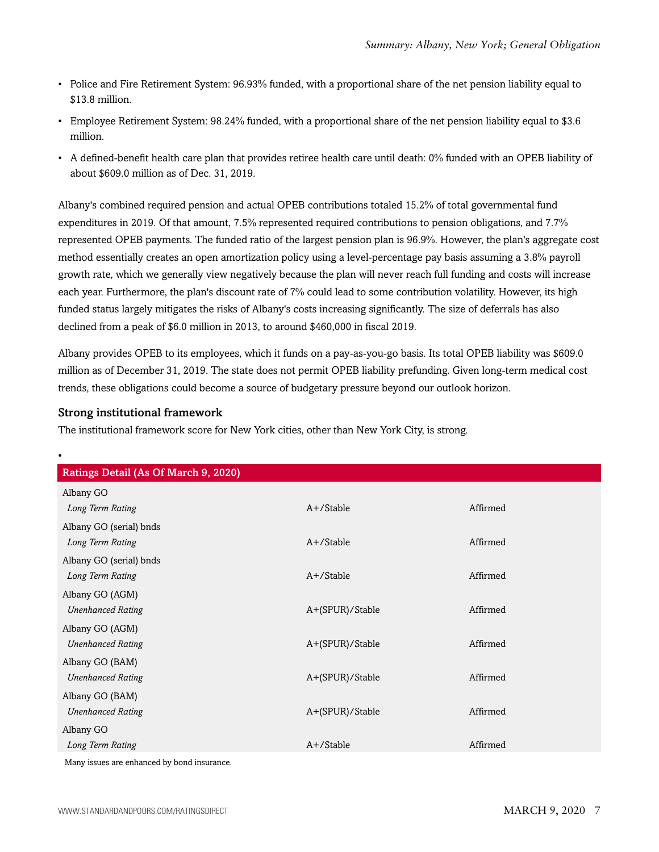- Police and Fire Retirement System: 96.93% funded, with a proportional share of the net pension liability equal to \$13.8 million.
- Employee Retirement System: 98.24% funded, with a proportional share of the net pension liability equal to \$3.6 million.
- A defined-benefit health care plan that provides retiree health care until death: 0% funded with an OPEB liability of about \$609.0 million as of Dec. 31, 2019.

Albany's combined required pension and actual OPEB contributions totaled 15.2% of total governmental fund expenditures in 2019. Of that amount, 7.5% represented required contributions to pension obligations, and 7.7% represented OPEB payments. The funded ratio of the largest pension plan is 96.9%. However, the plan's aggregate cost method essentially creates an open amortization policy using a level-percentage pay basis assuming a 3.8% payroll growth rate, which we generally view negatively because the plan will never reach full funding and costs will increase each year. Furthermore, the plan's discount rate of 7% could lead to some contribution volatility. However, its high funded status largely mitigates the risks of Albany's costs increasing significantly. The size of deferrals has also declined from a peak of \$6.0 million in 2013, to around \$460,000 in fiscal 2019.

Albany provides OPEB to its employees, which it funds on a pay-as-you-go basis. Its total OPEB liability was \$609.0 million as of December 31, 2019. The state does not permit OPEB liability prefunding. Given long-term medical cost trends, these obligations could become a source of budgetary pressure beyond our outlook horizon.

#### Strong institutional framework

The institutional framework score for New York cities, other than New York City, is strong.

| Ratings Detail (As Of March 9, 2020)        |                 |          |  |
|---------------------------------------------|-----------------|----------|--|
| Albany GO                                   |                 |          |  |
| Long Term Rating                            | A+/Stable       | Affirmed |  |
| Albany GO (serial) bnds                     |                 |          |  |
| Long Term Rating                            | $A+$ /Stable    | Affirmed |  |
| Albany GO (serial) bnds                     |                 |          |  |
| Long Term Rating                            | A+/Stable       | Affirmed |  |
| Albany GO (AGM)                             |                 |          |  |
| <b>Unenhanced Rating</b>                    | A+(SPUR)/Stable | Affirmed |  |
| Albany GO (AGM)                             |                 |          |  |
| <b>Unenhanced Rating</b>                    | A+(SPUR)/Stable | Affirmed |  |
| Albany GO (BAM)                             |                 |          |  |
| <b>Unenhanced Rating</b>                    | A+(SPUR)/Stable | Affirmed |  |
| Albany GO (BAM)                             |                 |          |  |
| <b>Unenhanced Rating</b>                    | A+(SPUR)/Stable | Affirmed |  |
| Albany GO                                   |                 |          |  |
| Long Term Rating                            | A+/Stable       | Affirmed |  |
| Many issues are enhanced by bond insurance. |                 |          |  |

WWW.STANDARDANDPOORS.COM/RATINGSDIRECT ACCORDING THE SERVICE OF SALE OF MARCH 9, 2020 7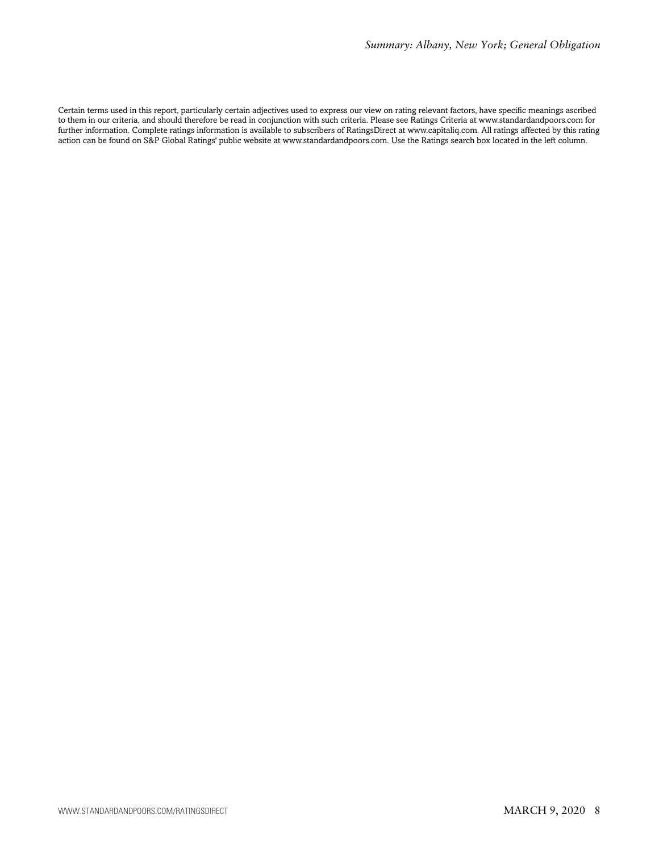Certain terms used in this report, particularly certain adjectives used to express our view on rating relevant factors, have specific meanings ascribed to them in our criteria, and should therefore be read in conjunction with such criteria. Please see Ratings Criteria at www.standardandpoors.com for further information. Complete ratings information is available to subscribers of RatingsDirect at www.capitaliq.com. All ratings affected by this rating action can be found on S&P Global Ratings' public website at www.standardandpoors.com. Use the Ratings search box located in the left column.